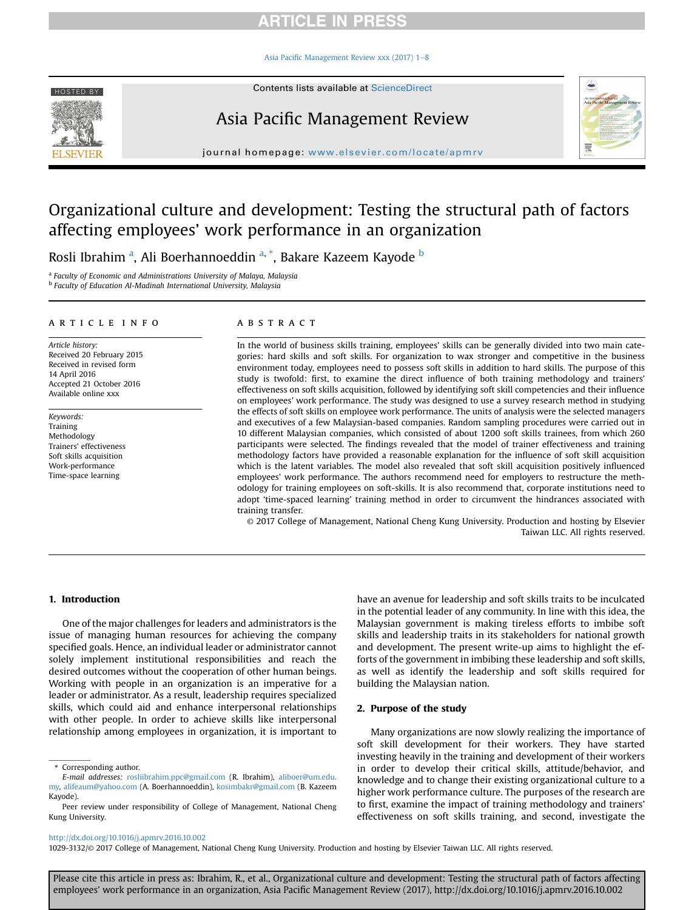Asia Pacifi[c Management Review xxx \(2017\) 1](http://dx.doi.org/10.1016/j.apmrv.2016.10.002)-[8](http://dx.doi.org/10.1016/j.apmrv.2016.10.002)

HOSTED BY Contents lists available at [ScienceDirect](www.sciencedirect.com/science/journal/10293132)

# Asia Pacific Management Review

journal homepage: <www.elsevier.com/locate/apmrv>

# Organizational culture and development: Testing the structural path of factors affecting employees' work performance in an organization

Rosli Ibrahim <sup>a</sup>, Ali Boerhannoeddin <sup>a, \*</sup>, Bakare Kazeem Kayode <sup>b</sup>

<sup>a</sup> Faculty of Economic and Administrations University of Malaya, Malaysia **b** Faculty of Education Al-Madinah International University, Malaysia

#### article info

Article history: Received 20 February 2015 Received in revised form 14 April 2016 Accepted 21 October 2016 Available online xxx

Keywords: Training Methodology Trainers' effectiveness Soft skills acquisition Work-performance Time-space learning

#### **ABSTRACT**

In the world of business skills training, employees' skills can be generally divided into two main categories: hard skills and soft skills. For organization to wax stronger and competitive in the business environment today, employees need to possess soft skills in addition to hard skills. The purpose of this study is twofold: first, to examine the direct influence of both training methodology and trainers' effectiveness on soft skills acquisition, followed by identifying soft skill competencies and their influence on employees' work performance. The study was designed to use a survey research method in studying the effects of soft skills on employee work performance. The units of analysis were the selected managers and executives of a few Malaysian-based companies. Random sampling procedures were carried out in 10 different Malaysian companies, which consisted of about 1200 soft skills trainees, from which 260 participants were selected. The findings revealed that the model of trainer effectiveness and training methodology factors have provided a reasonable explanation for the influence of soft skill acquisition which is the latent variables. The model also revealed that soft skill acquisition positively influenced employees' work performance. The authors recommend need for employers to restructure the methodology for training employees on soft-skills. It is also recommend that, corporate institutions need to adopt 'time-spaced learning' training method in order to circumvent the hindrances associated with training transfer.

© 2017 College of Management, National Cheng Kung University. Production and hosting by Elsevier Taiwan LLC. All rights reserved.

#### 1. Introduction

One of the major challenges for leaders and administrators is the issue of managing human resources for achieving the company specified goals. Hence, an individual leader or administrator cannot solely implement institutional responsibilities and reach the desired outcomes without the cooperation of other human beings. Working with people in an organization is an imperative for a leader or administrator. As a result, leadership requires specialized skills, which could aid and enhance interpersonal relationships with other people. In order to achieve skills like interpersonal relationship among employees in organization, it is important to have an avenue for leadership and soft skills traits to be inculcated in the potential leader of any community. In line with this idea, the Malaysian government is making tireless efforts to imbibe soft skills and leadership traits in its stakeholders for national growth and development. The present write-up aims to highlight the efforts of the government in imbibing these leadership and soft skills, as well as identify the leadership and soft skills required for building the Malaysian nation.

#### 2. Purpose of the study

Many organizations are now slowly realizing the importance of soft skill development for their workers. They have started investing heavily in the training and development of their workers in order to develop their critical skills, attitude/behavior, and knowledge and to change their existing organizational culture to a higher work performance culture. The purposes of the research are to first, examine the impact of training methodology and trainers' effectiveness on soft skills training, and second, investigate the

### <http://dx.doi.org/10.1016/j.apmrv.2016.10.002>

1029-3132/© 2017 College of Management, National Cheng Kung University. Production and hosting by Elsevier Taiwan LLC. All rights reserved.



<sup>\*</sup> Corresponding author.

E-mail addresses: [rosliibrahim.ppc@gmail.com](mailto:rosliibrahim.ppc@gmail.com) (R. Ibrahim), [aliboer@um.edu.](mailto:aliboer@um.edu.my) [my,](mailto:aliboer@um.edu.my) [alifeaum@yahoo.com](mailto:alifeaum@yahoo.com) (A. Boerhannoeddin), [kosimbakr@gmail.com](mailto:kosimbakr@gmail.com) (B. Kazeem Kayode).

Peer review under responsibility of College of Management, National Cheng Kung University.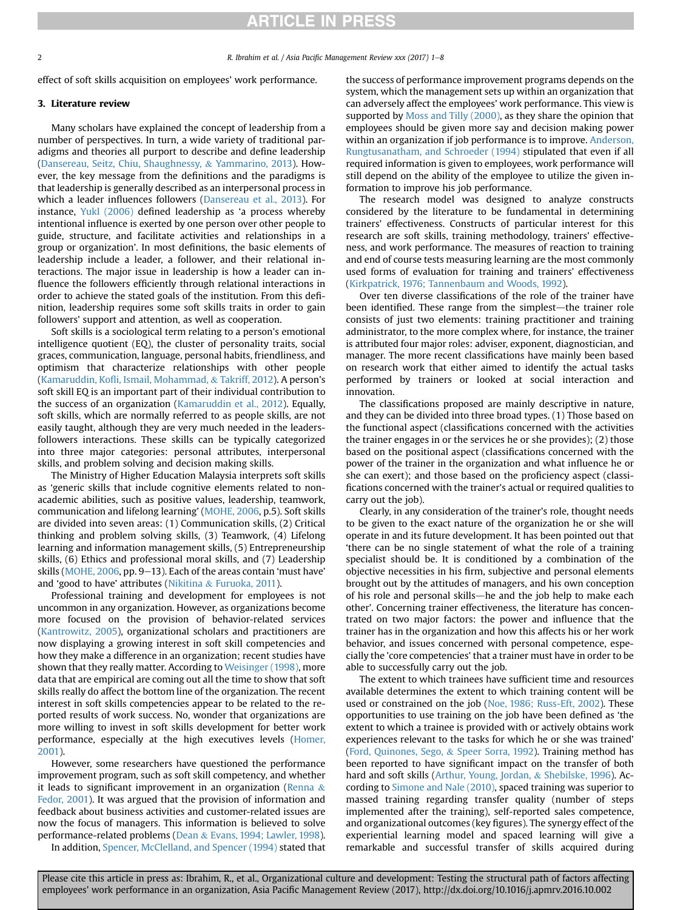2 **R. Ibrahim et al. / Asia Pacific Management Review xxx (2017) 1–8** 

effect of soft skills acquisition on employees' work performance.

#### 3. Literature review

Many scholars have explained the concept of leadership from a number of perspectives. In turn, a wide variety of traditional paradigms and theories all purport to describe and define leadership ([Dansereau, Seitz, Chiu, Shaughnessy,](#page-6-0) & [Yammarino, 2013\)](#page-6-0). However, the key message from the definitions and the paradigms is that leadership is generally described as an interpersonal process in which a leader influences followers ([Dansereau et al., 2013](#page-6-0)). For instance, [Yukl \(2006\)](#page-7-0) defined leadership as 'a process whereby intentional influence is exerted by one person over other people to guide, structure, and facilitate activities and relationships in a group or organization'. In most definitions, the basic elements of leadership include a leader, a follower, and their relational interactions. The major issue in leadership is how a leader can influence the followers efficiently through relational interactions in order to achieve the stated goals of the institution. From this definition, leadership requires some soft skills traits in order to gain followers' support and attention, as well as cooperation.

Soft skills is a sociological term relating to a person's emotional intelligence quotient (EQ), the cluster of personality traits, social graces, communication, language, personal habits, friendliness, and optimism that characterize relationships with other people (Kamaruddin, Kofl[i, Ismail, Mohammad,](#page-6-0) & [Takriff, 2012](#page-6-0)). A person's soft skill EQ is an important part of their individual contribution to the success of an organization ([Kamaruddin et al., 2012\)](#page-6-0). Equally, soft skills, which are normally referred to as people skills, are not easily taught, although they are very much needed in the leadersfollowers interactions. These skills can be typically categorized into three major categories: personal attributes, interpersonal skills, and problem solving and decision making skills.

The Ministry of Higher Education Malaysia interprets soft skills as 'generic skills that include cognitive elements related to nonacademic abilities, such as positive values, leadership, teamwork, communication and lifelong learning' [\(MOHE, 2006,](#page-6-0) p.5). Soft skills are divided into seven areas: (1) Communication skills, (2) Critical thinking and problem solving skills, (3) Teamwork, (4) Lifelong learning and information management skills, (5) Entrepreneurship skills, (6) Ethics and professional moral skills, and (7) Leadership skills ([MOHE, 2006,](#page-6-0) pp. 9–13). Each of the areas contain 'must have' and 'good to have' attributes ([Nikitina](#page-6-0) & [Furuoka, 2011](#page-6-0)).

Professional training and development for employees is not uncommon in any organization. However, as organizations become more focused on the provision of behavior-related services ([Kantrowitz, 2005](#page-6-0)), organizational scholars and practitioners are now displaying a growing interest in soft skill competencies and how they make a difference in an organization; recent studies have shown that they really matter. According to [Weisinger \(1998\)](#page-7-0), more data that are empirical are coming out all the time to show that soft skills really do affect the bottom line of the organization. The recent interest in soft skills competencies appear to be related to the reported results of work success. No, wonder that organizations are more willing to invest in soft skills development for better work performance, especially at the high executives levels [\(Homer,](#page-6-0) [2001\)](#page-6-0).

However, some researchers have questioned the performance improvement program, such as soft skill competency, and whether it leads to significant improvement in an organization ([Renna](#page-6-0)  $\&$ [Fedor, 2001](#page-6-0)). It was argued that the provision of information and feedback about business activities and customer-related issues are now the focus of managers. This information is believed to solve performance-related problems ([Dean](#page-6-0) & [Evans, 1994; Lawler, 1998\)](#page-6-0).

In addition, [Spencer, McClelland, and Spencer \(1994\)](#page-7-0) stated that

the success of performance improvement programs depends on the system, which the management sets up within an organization that can adversely affect the employees' work performance. This view is supported by [Moss and Tilly \(2000\)](#page-6-0), as they share the opinion that employees should be given more say and decision making power within an organization if job performance is to improve. [Anderson,](#page-6-0) [Rungtusanatham, and Schroeder \(1994\)](#page-6-0) stipulated that even if all required information is given to employees, work performance will still depend on the ability of the employee to utilize the given information to improve his job performance.

The research model was designed to analyze constructs considered by the literature to be fundamental in determining trainers' effectiveness. Constructs of particular interest for this research are soft skills, training methodology, trainers' effectiveness, and work performance. The measures of reaction to training and end of course tests measuring learning are the most commonly used forms of evaluation for training and trainers' effectiveness ([Kirkpatrick, 1976; Tannenbaum and Woods, 1992](#page-6-0)).

Over ten diverse classifications of the role of the trainer have been identified. These range from the simplest—the trainer role consists of just two elements: training practitioner and training administrator, to the more complex where, for instance, the trainer is attributed four major roles: adviser, exponent, diagnostician, and manager. The more recent classifications have mainly been based on research work that either aimed to identify the actual tasks performed by trainers or looked at social interaction and innovation.

The classifications proposed are mainly descriptive in nature, and they can be divided into three broad types. (1) Those based on the functional aspect (classifications concerned with the activities the trainer engages in or the services he or she provides); (2) those based on the positional aspect (classifications concerned with the power of the trainer in the organization and what influence he or she can exert); and those based on the proficiency aspect (classifications concerned with the trainer's actual or required qualities to carry out the job).

Clearly, in any consideration of the trainer's role, thought needs to be given to the exact nature of the organization he or she will operate in and its future development. It has been pointed out that 'there can be no single statement of what the role of a training specialist should be. It is conditioned by a combination of the objective necessities in his firm, subjective and personal elements brought out by the attitudes of managers, and his own conception of his role and personal skills—he and the job help to make each other'. Concerning trainer effectiveness, the literature has concentrated on two major factors: the power and influence that the trainer has in the organization and how this affects his or her work behavior, and issues concerned with personal competence, especially the 'core competencies' that a trainer must have in order to be able to successfully carry out the job.

The extent to which trainees have sufficient time and resources available determines the extent to which training content will be used or constrained on the job [\(Noe, 1986; Russ-Eft, 2002](#page-6-0)). These opportunities to use training on the job have been defined as 'the extent to which a trainee is provided with or actively obtains work experiences relevant to the tasks for which he or she was trained' ([Ford, Quinones, Sego,](#page-6-0) & [Speer Sorra, 1992\)](#page-6-0). Training method has been reported to have significant impact on the transfer of both hard and soft skills ([Arthur, Young, Jordan,](#page-6-0) & [Shebilske, 1996\)](#page-6-0). According to [Simone and Nale \(2010\)](#page-7-0), spaced training was superior to massed training regarding transfer quality (number of steps implemented after the training), self-reported sales competence, and organizational outcomes (key figures). The synergy effect of the experiential learning model and spaced learning will give a remarkable and successful transfer of skills acquired during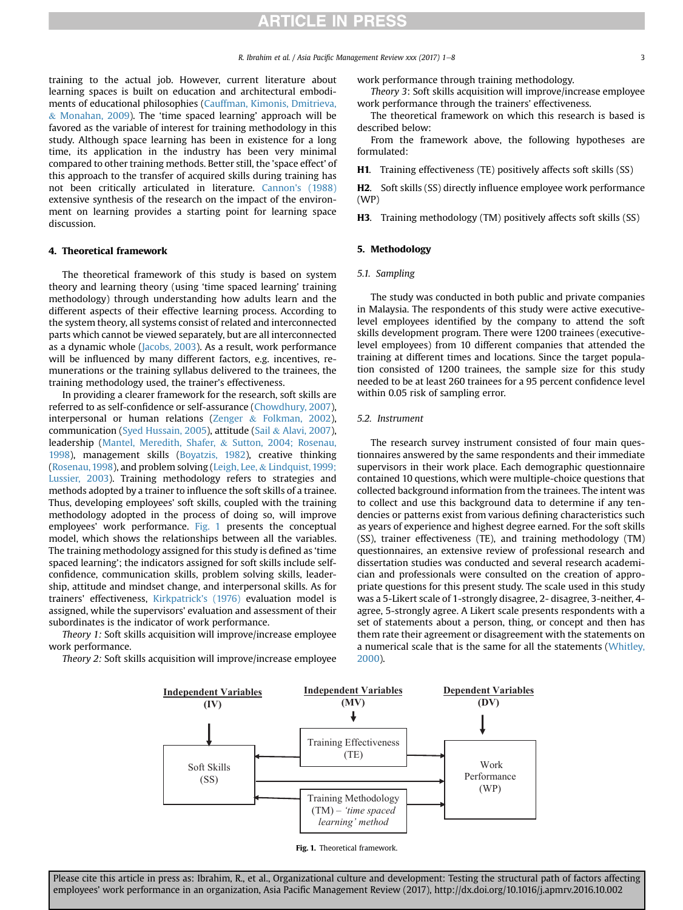training to the actual job. However, current literature about learning spaces is built on education and architectural embodiments of educational philosophies [\(Cauffman, Kimonis, Dmitrieva,](#page-6-0) & [Monahan, 2009\)](#page-6-0). The 'time spaced learning' approach will be favored as the variable of interest for training methodology in this study. Although space learning has been in existence for a long time, its application in the industry has been very minimal compared to other training methods. Better still, the 'space effect' of this approach to the transfer of acquired skills during training has not been critically articulated in literature. [Cannon's \(1988\)](#page-6-0) extensive synthesis of the research on the impact of the environment on learning provides a starting point for learning space discussion.

#### 4. Theoretical framework

The theoretical framework of this study is based on system theory and learning theory (using 'time spaced learning' training methodology) through understanding how adults learn and the different aspects of their effective learning process. According to the system theory, all systems consist of related and interconnected parts which cannot be viewed separately, but are all interconnected as a dynamic whole ([Jacobs, 2003](#page-6-0)). As a result, work performance will be influenced by many different factors, e.g. incentives, remunerations or the training syllabus delivered to the trainees, the training methodology used, the trainer's effectiveness.

In providing a clearer framework for the research, soft skills are referred to as self-confidence or self-assurance ([Chowdhury, 2007\)](#page-6-0), interpersonal or human relations ([Zenger](#page-7-0) & [Folkman, 2002\)](#page-7-0), communication ([Syed Hussain, 2005](#page-7-0)), attitude [\(Sail](#page-6-0) & [Alavi, 2007\)](#page-6-0), leadership [\(Mantel, Meredith, Shafer,](#page-6-0) & [Sutton, 2004; Rosenau,](#page-6-0) [1998\)](#page-6-0), management skills ([Boyatzis, 1982](#page-6-0)), creative thinking ([Rosenau, 1998\)](#page-6-0), and problem solving [\(Leigh, Lee,](#page-6-0) & [Lindquist, 1999;](#page-6-0) [Lussier, 2003\)](#page-6-0). Training methodology refers to strategies and methods adopted by a trainer to influence the soft skills of a trainee. Thus, developing employees' soft skills, coupled with the training methodology adopted in the process of doing so, will improve employees' work performance. Fig. 1 presents the conceptual model, which shows the relationships between all the variables. The training methodology assigned for this study is defined as 'time spaced learning'; the indicators assigned for soft skills include selfconfidence, communication skills, problem solving skills, leadership, attitude and mindset change, and interpersonal skills. As for trainers' effectiveness, [Kirkpatrick's \(1976\)](#page-6-0) evaluation model is assigned, while the supervisors' evaluation and assessment of their subordinates is the indicator of work performance.

Theory 1: Soft skills acquisition will improve/increase employee work performance.

Theory 2: Soft skills acquisition will improve/increase employee

work performance through training methodology.

Theory 3: Soft skills acquisition will improve/increase employee work performance through the trainers' effectiveness.

The theoretical framework on which this research is based is described below:

From the framework above, the following hypotheses are formulated:

H1. Training effectiveness (TE) positively affects soft skills (SS)

H2. Soft skills (SS) directly influence employee work performance (WP)

H3. Training methodology (TM) positively affects soft skills (SS)

#### 5. Methodology

5.1. Sampling

The study was conducted in both public and private companies in Malaysia. The respondents of this study were active executivelevel employees identified by the company to attend the soft skills development program. There were 1200 trainees (executivelevel employees) from 10 different companies that attended the training at different times and locations. Since the target population consisted of 1200 trainees, the sample size for this study needed to be at least 260 trainees for a 95 percent confidence level within 0.05 risk of sampling error.

#### 5.2. Instrument

The research survey instrument consisted of four main questionnaires answered by the same respondents and their immediate supervisors in their work place. Each demographic questionnaire contained 10 questions, which were multiple-choice questions that collected background information from the trainees. The intent was to collect and use this background data to determine if any tendencies or patterns exist from various defining characteristics such as years of experience and highest degree earned. For the soft skills (SS), trainer effectiveness (TE), and training methodology (TM) questionnaires, an extensive review of professional research and dissertation studies was conducted and several research academician and professionals were consulted on the creation of appropriate questions for this present study. The scale used in this study was a 5-Likert scale of 1-strongly disagree, 2- disagree, 3-neither, 4 agree, 5-strongly agree. A Likert scale presents respondents with a set of statements about a person, thing, or concept and then has them rate their agreement or disagreement with the statements on a numerical scale that is the same for all the statements ([Whitley,](#page-7-0) [2000\)](#page-7-0).



Fig. 1. Theoretical framework.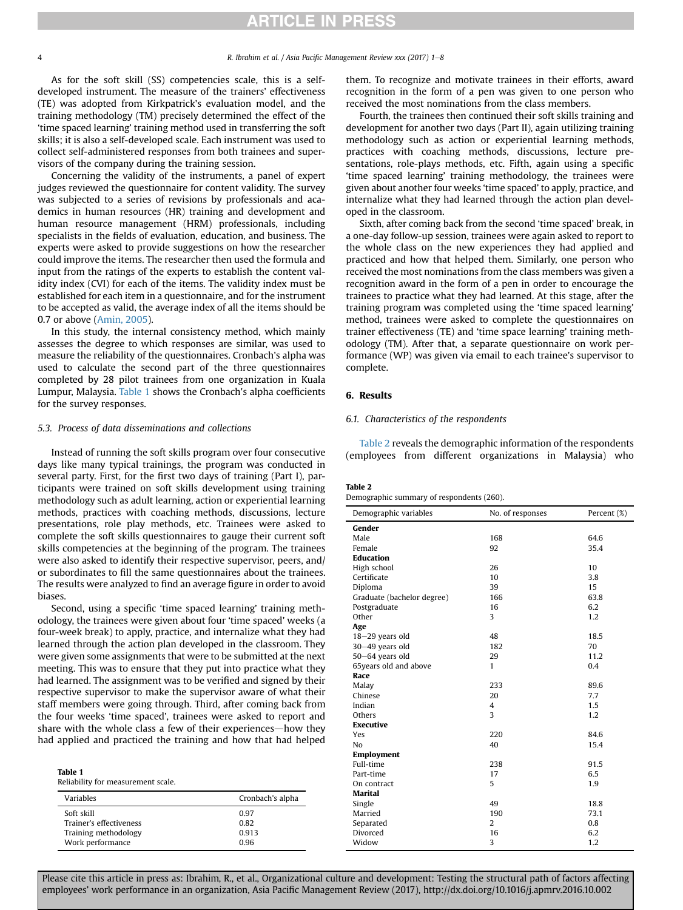<span id="page-3-0"></span>

As for the soft skill (SS) competencies scale, this is a selfdeveloped instrument. The measure of the trainers' effectiveness (TE) was adopted from Kirkpatrick's evaluation model, and the training methodology (TM) precisely determined the effect of the 'time spaced learning' training method used in transferring the soft skills; it is also a self-developed scale. Each instrument was used to collect self-administered responses from both trainees and supervisors of the company during the training session.

Concerning the validity of the instruments, a panel of expert judges reviewed the questionnaire for content validity. The survey was subjected to a series of revisions by professionals and academics in human resources (HR) training and development and human resource management (HRM) professionals, including specialists in the fields of evaluation, education, and business. The experts were asked to provide suggestions on how the researcher could improve the items. The researcher then used the formula and input from the ratings of the experts to establish the content validity index (CVI) for each of the items. The validity index must be established for each item in a questionnaire, and for the instrument to be accepted as valid, the average index of all the items should be 0.7 or above ([Amin, 2005\)](#page-6-0).

In this study, the internal consistency method, which mainly assesses the degree to which responses are similar, was used to measure the reliability of the questionnaires. Cronbach's alpha was used to calculate the second part of the three questionnaires completed by 28 pilot trainees from one organization in Kuala Lumpur, Malaysia. Table 1 shows the Cronbach's alpha coefficients for the survey responses.

#### 5.3. Process of data disseminations and collections

Instead of running the soft skills program over four consecutive days like many typical trainings, the program was conducted in several party. First, for the first two days of training (Part I), participants were trained on soft skills development using training methodology such as adult learning, action or experiential learning methods, practices with coaching methods, discussions, lecture presentations, role play methods, etc. Trainees were asked to complete the soft skills questionnaires to gauge their current soft skills competencies at the beginning of the program. The trainees were also asked to identify their respective supervisor, peers, and/ or subordinates to fill the same questionnaires about the trainees. The results were analyzed to find an average figure in order to avoid biases.

Second, using a specific 'time spaced learning' training methodology, the trainees were given about four 'time spaced' weeks (a four-week break) to apply, practice, and internalize what they had learned through the action plan developed in the classroom. They were given some assignments that were to be submitted at the next meeting. This was to ensure that they put into practice what they had learned. The assignment was to be verified and signed by their respective supervisor to make the supervisor aware of what their staff members were going through. Third, after coming back from the four weeks 'time spaced', trainees were asked to report and share with the whole class a few of their experiences—how they had applied and practiced the training and how that had helped

| Table 1 |                                    |  |
|---------|------------------------------------|--|
|         | Reliability for measurement scale. |  |

| <b>Variables</b>        | Cronbach's alpha |  |
|-------------------------|------------------|--|
| Soft skill              | 0.97             |  |
| Trainer's effectiveness | 0.82             |  |
| Training methodology    | 0.913            |  |
| Work performance        | 0.96             |  |

them. To recognize and motivate trainees in their efforts, award recognition in the form of a pen was given to one person who received the most nominations from the class members.

Fourth, the trainees then continued their soft skills training and development for another two days (Part II), again utilizing training methodology such as action or experiential learning methods, practices with coaching methods, discussions, lecture presentations, role-plays methods, etc. Fifth, again using a specific 'time spaced learning' training methodology, the trainees were given about another four weeks 'time spaced' to apply, practice, and internalize what they had learned through the action plan developed in the classroom.

Sixth, after coming back from the second 'time spaced' break, in a one-day follow-up session, trainees were again asked to report to the whole class on the new experiences they had applied and practiced and how that helped them. Similarly, one person who received the most nominations from the class members was given a recognition award in the form of a pen in order to encourage the trainees to practice what they had learned. At this stage, after the training program was completed using the 'time spaced learning' method, trainees were asked to complete the questionnaires on trainer effectiveness (TE) and 'time space learning' training methodology (TM). After that, a separate questionnaire on work performance (WP) was given via email to each trainee's supervisor to complete.

### 6. Results

#### 6.1. Characteristics of the respondents

Table 2 reveals the demographic information of the respondents (employees from different organizations in Malaysia) who

#### Table 2

| Demographic summary of respondents (260). |  |  |  |
|-------------------------------------------|--|--|--|
|                                           |  |  |  |

| Demographic variables      | No. of responses | Percent (%) |
|----------------------------|------------------|-------------|
| Gender                     |                  |             |
| Male                       | 168              | 64.6        |
| Female                     | 92               | 35.4        |
| <b>Education</b>           |                  |             |
| High school                | 26               | 10          |
| Certificate                | 10               | 3.8         |
| Diploma                    | 39               | 15          |
| Graduate (bachelor degree) | 166              | 63.8        |
| Postgraduate               | 16               | 6.2         |
| Other                      | 3                | 1.2         |
| Age                        |                  |             |
| 18-29 years old            | 48               | 18.5        |
| 30-49 years old            | 182              | 70          |
| 50-64 years old            | 29               | 11.2        |
| 65years old and above      | $\mathbf{1}$     | 0.4         |
| Race                       |                  |             |
| Malay                      | 233              | 89.6        |
| Chinese                    | 20               | 7.7         |
| Indian                     | $\overline{4}$   | 1.5         |
| Others                     | 3                | 1.2         |
| <b>Executive</b>           |                  |             |
| Yes                        | 220              | 84.6        |
| No                         | 40               | 15.4        |
| <b>Employment</b>          |                  |             |
| Full-time                  | 238              | 91.5        |
| Part-time                  | 17               | 6.5         |
| On contract                | 5                | 1.9         |
| Marital                    |                  |             |
| Single                     | 49               | 18.8        |
| Married                    | 190              | 73.1        |
| Separated                  | 2                | 0.8         |
| Divorced                   | 16               | 6.2         |
| Widow                      | 3                | 1.2         |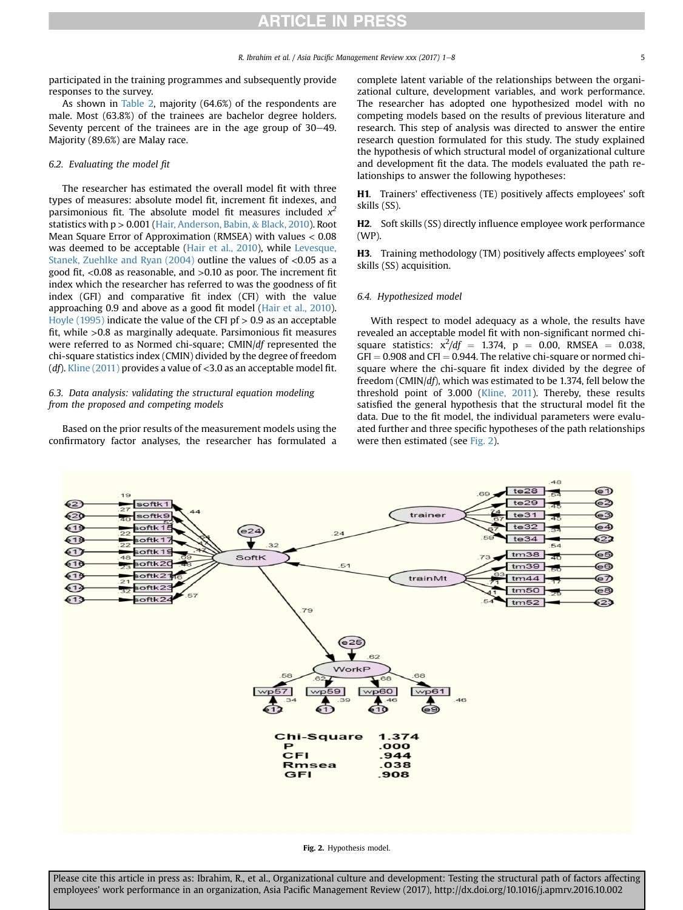<span id="page-4-0"></span>participated in the training programmes and subsequently provide responses to the survey.

As shown in [Table 2,](#page-3-0) majority (64.6%) of the respondents are male. Most (63.8%) of the trainees are bachelor degree holders. Seventy percent of the trainees are in the age group of  $30-49$ . Majority (89.6%) are Malay race.

#### 6.2. Evaluating the model fit

The researcher has estimated the overall model fit with three types of measures: absolute model fit, increment fit indexes, and parsimonious fit. The absolute model fit measures included  $x^2$ statistics with p > 0.001 ([Hair, Anderson, Babin,](#page-6-0) & [Black, 2010\)](#page-6-0). Root Mean Square Error of Approximation (RMSEA) with values < 0.08 was deemed to be acceptable [\(Hair et al., 2010\)](#page-6-0), while [Levesque,](#page-6-0) [Stanek, Zuehlke and Ryan \(2004\)](#page-6-0) outline the values of <0.05 as a good fit, <0.08 as reasonable, and >0.10 as poor. The increment fit index which the researcher has referred to was the goodness of fit index (GFI) and comparative fit index (CFI) with the value approaching 0.9 and above as a good fit model [\(Hair et al., 2010\)](#page-6-0). [Hoyle \(1995\)](#page-6-0) indicate the value of the CFI pf  $> 0.9$  as an acceptable fit, while >0.8 as marginally adequate. Parsimonious fit measures were referred to as Normed chi-square; CMIN/df represented the chi-square statistics index (CMIN) divided by the degree of freedom (*df*). [Kline \(2011\)](#page-6-0) provides a value of  $<$ 3.0 as an acceptable model fit.

### 6.3. Data analysis: validating the structural equation modeling from the proposed and competing models

Based on the prior results of the measurement models using the confirmatory factor analyses, the researcher has formulated a complete latent variable of the relationships between the organizational culture, development variables, and work performance. The researcher has adopted one hypothesized model with no competing models based on the results of previous literature and research. This step of analysis was directed to answer the entire research question formulated for this study. The study explained the hypothesis of which structural model of organizational culture and development fit the data. The models evaluated the path relationships to answer the following hypotheses:

H1. Trainers' effectiveness (TE) positively affects employees' soft skills (SS).

H2. Soft skills (SS) directly influence employee work performance (WP).

H3. Training methodology (TM) positively affects employees' soft skills (SS) acquisition.

#### 6.4. Hypothesized model

With respect to model adequacy as a whole, the results have revealed an acceptable model fit with non-significant normed chisquare statistics:  $x^2/df = 1.374$ ,  $p = 0.00$ , RMSEA = 0.038,  $GFI = 0.908$  and  $CFI = 0.944$ . The relative chi-square or normed chisquare where the chi-square fit index divided by the degree of freedom (CMIN/df), which was estimated to be 1.374, fell below the threshold point of 3.000 [\(Kline, 2011](#page-6-0)). Thereby, these results satisfied the general hypothesis that the structural model fit the data. Due to the fit model, the individual parameters were evaluated further and three specific hypotheses of the path relationships were then estimated (see Fig. 2).



Fig. 2. Hypothesis model.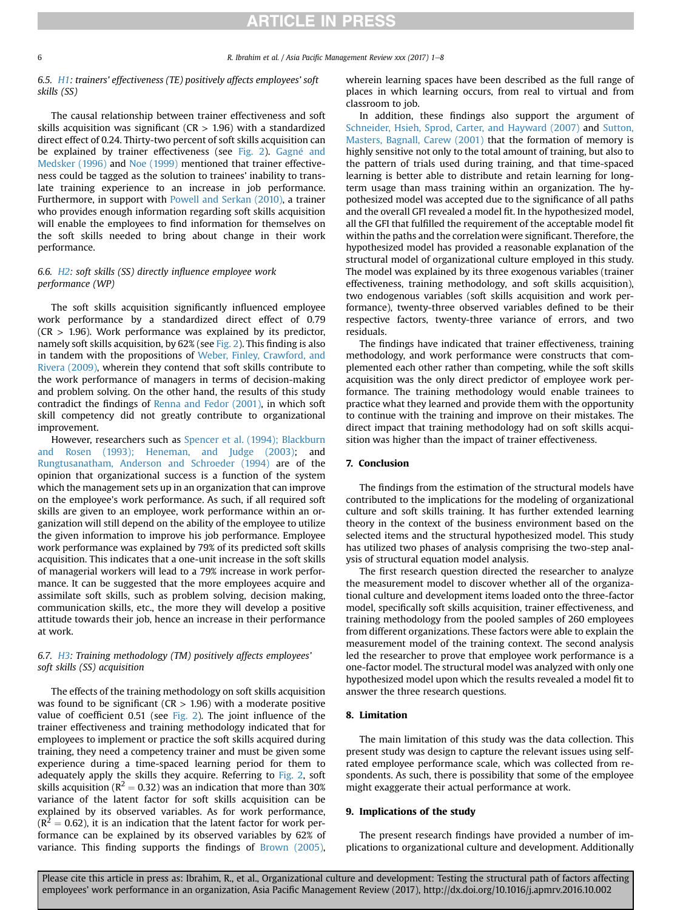### 6.5. H1: trainers' effectiveness (TE) positively affects employees' soft skills (SS)

The causal relationship between trainer effectiveness and soft skills acquisition was significant ( $CR > 1.96$ ) with a standardized direct effect of 0.24. Thirty-two percent of soft skills acquisition can be explained by trainer effectiveness (see [Fig. 2\)](#page-4-0). [Gagn](#page-6-0)é [and](#page-6-0) [Medsker \(1996\)](#page-6-0) and [Noe \(1999\)](#page-6-0) mentioned that trainer effectiveness could be tagged as the solution to trainees' inability to translate training experience to an increase in job performance. Furthermore, in support with [Powell and Serkan \(2010\)](#page-6-0), a trainer who provides enough information regarding soft skills acquisition will enable the employees to find information for themselves on the soft skills needed to bring about change in their work performance.

### 6.6. H2: soft skills (SS) directly influence employee work performance (WP)

The soft skills acquisition significantly influenced employee work performance by a standardized direct effect of 0.79  $(CR > 1.96)$ . Work performance was explained by its predictor, namely soft skills acquisition, by 62% (see [Fig. 2](#page-4-0)). This finding is also in tandem with the propositions of [Weber, Finley, Crawford, and](#page-7-0) [Rivera \(2009\),](#page-7-0) wherein they contend that soft skills contribute to the work performance of managers in terms of decision-making and problem solving. On the other hand, the results of this study contradict the findings of [Renna and Fedor \(2001\),](#page-6-0) in which soft skill competency did not greatly contribute to organizational improvement.

However, researchers such as [Spencer et al. \(1994\); Blackburn](#page-7-0) [and Rosen \(1993\); Heneman, and Judge \(2003\);](#page-7-0) and [Rungtusanatham, Anderson and Schroeder \(1994\)](#page-6-0) are of the opinion that organizational success is a function of the system which the management sets up in an organization that can improve on the employee's work performance. As such, if all required soft skills are given to an employee, work performance within an organization will still depend on the ability of the employee to utilize the given information to improve his job performance. Employee work performance was explained by 79% of its predicted soft skills acquisition. This indicates that a one-unit increase in the soft skills of managerial workers will lead to a 79% increase in work performance. It can be suggested that the more employees acquire and assimilate soft skills, such as problem solving, decision making, communication skills, etc., the more they will develop a positive attitude towards their job, hence an increase in their performance at work.

### 6.7. H3: Training methodology (TM) positively affects employees' soft skills (SS) acquisition

The effects of the training methodology on soft skills acquisition was found to be significant ( $CR > 1.96$ ) with a moderate positive value of coefficient 0.51 (see [Fig. 2\)](#page-4-0). The joint influence of the trainer effectiveness and training methodology indicated that for employees to implement or practice the soft skills acquired during training, they need a competency trainer and must be given some experience during a time-spaced learning period for them to adequately apply the skills they acquire. Referring to [Fig. 2](#page-4-0), soft skills acquisition ( $R^2 = 0.32$ ) was an indication that more than 30% variance of the latent factor for soft skills acquisition can be explained by its observed variables. As for work performance,  $(R^2 = 0.62)$ , it is an indication that the latent factor for work performance can be explained by its observed variables by 62% of variance. This finding supports the findings of [Brown \(2005\),](#page-6-0) wherein learning spaces have been described as the full range of places in which learning occurs, from real to virtual and from classroom to job.

In addition, these findings also support the argument of [Schneider, Hsieh, Sprod, Carter, and Hayward \(2007\)](#page-6-0) and [Sutton,](#page-7-0) [Masters, Bagnall, Carew \(2001\)](#page-7-0) that the formation of memory is highly sensitive not only to the total amount of training, but also to the pattern of trials used during training, and that time-spaced learning is better able to distribute and retain learning for longterm usage than mass training within an organization. The hypothesized model was accepted due to the significance of all paths and the overall GFI revealed a model fit. In the hypothesized model, all the GFI that fulfilled the requirement of the acceptable model fit within the paths and the correlation were significant. Therefore, the hypothesized model has provided a reasonable explanation of the structural model of organizational culture employed in this study. The model was explained by its three exogenous variables (trainer effectiveness, training methodology, and soft skills acquisition), two endogenous variables (soft skills acquisition and work performance), twenty-three observed variables defined to be their respective factors, twenty-three variance of errors, and two residuals.

The findings have indicated that trainer effectiveness, training methodology, and work performance were constructs that complemented each other rather than competing, while the soft skills acquisition was the only direct predictor of employee work performance. The training methodology would enable trainees to practice what they learned and provide them with the opportunity to continue with the training and improve on their mistakes. The direct impact that training methodology had on soft skills acquisition was higher than the impact of trainer effectiveness.

#### 7. Conclusion

The findings from the estimation of the structural models have contributed to the implications for the modeling of organizational culture and soft skills training. It has further extended learning theory in the context of the business environment based on the selected items and the structural hypothesized model. This study has utilized two phases of analysis comprising the two-step analysis of structural equation model analysis.

The first research question directed the researcher to analyze the measurement model to discover whether all of the organizational culture and development items loaded onto the three-factor model, specifically soft skills acquisition, trainer effectiveness, and training methodology from the pooled samples of 260 employees from different organizations. These factors were able to explain the measurement model of the training context. The second analysis led the researcher to prove that employee work performance is a one-factor model. The structural model was analyzed with only one hypothesized model upon which the results revealed a model fit to answer the three research questions.

#### 8. Limitation

The main limitation of this study was the data collection. This present study was design to capture the relevant issues using selfrated employee performance scale, which was collected from respondents. As such, there is possibility that some of the employee might exaggerate their actual performance at work.

#### 9. Implications of the study

The present research findings have provided a number of implications to organizational culture and development. Additionally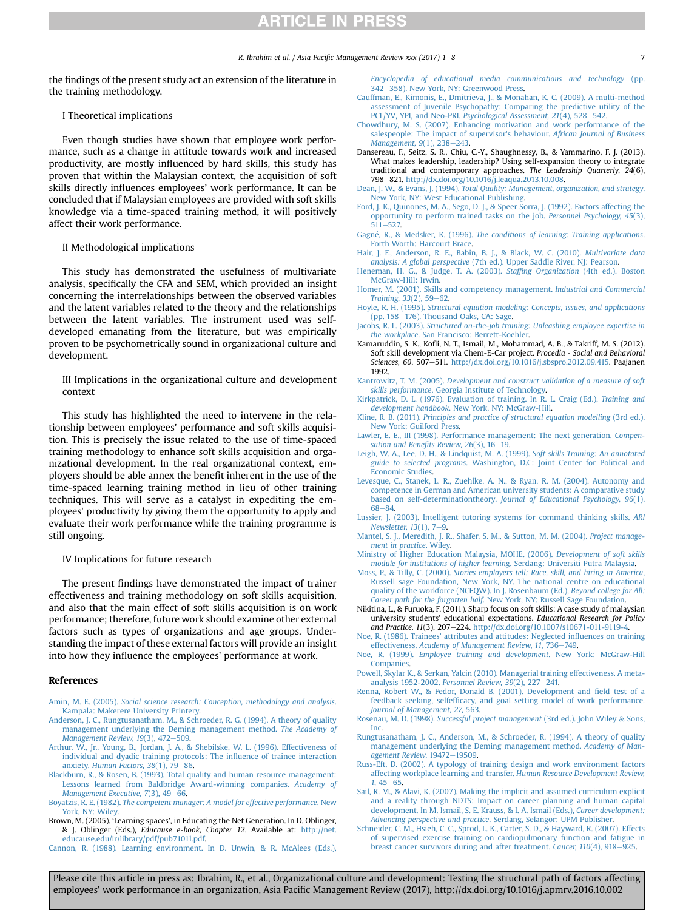<span id="page-6-0"></span>the findings of the present study act an extension of the literature in the training methodology.

## I Theoretical implications

Even though studies have shown that employee work performance, such as a change in attitude towards work and increased productivity, are mostly influenced by hard skills, this study has proven that within the Malaysian context, the acquisition of soft skills directly influences employees' work performance. It can be concluded that if Malaysian employees are provided with soft skills knowledge via a time-spaced training method, it will positively affect their work performance.

#### II Methodological implications

This study has demonstrated the usefulness of multivariate analysis, specifically the CFA and SEM, which provided an insight concerning the interrelationships between the observed variables and the latent variables related to the theory and the relationships between the latent variables. The instrument used was selfdeveloped emanating from the literature, but was empirically proven to be psychometrically sound in organizational culture and development.

III Implications in the organizational culture and development context

This study has highlighted the need to intervene in the relationship between employees' performance and soft skills acquisition. This is precisely the issue related to the use of time-spaced training methodology to enhance soft skills acquisition and organizational development. In the real organizational context, employers should be able annex the benefit inherent in the use of the time-spaced learning training method in lieu of other training techniques. This will serve as a catalyst in expediting the employees' productivity by giving them the opportunity to apply and evaluate their work performance while the training programme is still ongoing.

#### IV Implications for future research

The present findings have demonstrated the impact of trainer effectiveness and training methodology on soft skills acquisition, and also that the main effect of soft skills acquisition is on work performance; therefore, future work should examine other external factors such as types of organizations and age groups. Understanding the impact of these external factors will provide an insight into how they influence the employees' performance at work.

#### References

- Amin, M. E. (2005). [Social science research: Conception, methodology and analysis](http://refhub.elsevier.com/S1029-3132(15)20077-2/sref1). [Kampala: Makerere University Printery.](http://refhub.elsevier.com/S1029-3132(15)20077-2/sref1)
- [Anderson, J. C., Rungtusanatham, M., & Schroeder, R. G. \(1994\). A theory of quality](http://refhub.elsevier.com/S1029-3132(15)20077-2/sref2) [management underlying the Deming management method.](http://refhub.elsevier.com/S1029-3132(15)20077-2/sref2) The Academy of [Management Review, 19](http://refhub.elsevier.com/S1029-3132(15)20077-2/sref2)(3), 472-[509](http://refhub.elsevier.com/S1029-3132(15)20077-2/sref2).
- [Arthur, W., Jr., Young, B., Jordan, J. A., & Shebilske, W. L. \(1996\). Effectiveness of](http://refhub.elsevier.com/S1029-3132(15)20077-2/sref3) [individual and dyadic training protocols: The in](http://refhub.elsevier.com/S1029-3132(15)20077-2/sref3)fluence of trainee interaction anxiety. Human Factors,  $38(1)$ ,  $79-86$  $79-86$ .
- [Blackburn, R., & Rosen, B. \(1993\). Total quality and human resource management:](http://refhub.elsevier.com/S1029-3132(15)20077-2/sref42) [Lessons learned from Baldbridge Award-winning companies.](http://refhub.elsevier.com/S1029-3132(15)20077-2/sref42) Academy of [Management Executive, 7](http://refhub.elsevier.com/S1029-3132(15)20077-2/sref42)(3), 49-[66](http://refhub.elsevier.com/S1029-3132(15)20077-2/sref42).
- Boyatzis, R. E. (1982). [The competent manager: A model for effective performance](http://refhub.elsevier.com/S1029-3132(15)20077-2/sref4). New York, NY: Wilev
- Brown, M. (2005). 'Learning spaces', in Educating the Net Generation. In D. Oblinger, & J. Oblinger (Eds.), Educause e-book, Chapter 12. Available at: [http://net.](http://net.educause.edu/ir/library/pdf/pub7101l.pdf) [educause.edu/ir/library/pdf/pub7101l.pdf.](http://net.educause.edu/ir/library/pdf/pub7101l.pdf)
- [Cannon, R. \(1988\). Learning environment. In D. Unwin, & R. McAlees \(Eds.\),](http://refhub.elsevier.com/S1029-3132(15)20077-2/sref5)

[Encyclopedia of educational media communications and technology](http://refhub.elsevier.com/S1029-3132(15)20077-2/sref5) (pp. [342](http://refhub.elsevier.com/S1029-3132(15)20077-2/sref5)-[358\). New York, NY: Greenwood Press](http://refhub.elsevier.com/S1029-3132(15)20077-2/sref5).

- [Cauffman, E., Kimonis, E., Dmitrieva, J., & Monahan, K. C. \(2009\). A multi-method](http://refhub.elsevier.com/S1029-3132(15)20077-2/sref6) [assessment of Juvenile Psychopathy: Comparing the predictive utility of the](http://refhub.elsevier.com/S1029-3132(15)20077-2/sref6) PCL/YV, YPI, and Neo-PRI. [Psychological Assessment, 21](http://refhub.elsevier.com/S1029-3132(15)20077-2/sref6)(4), 528-[542](http://refhub.elsevier.com/S1029-3132(15)20077-2/sref6).
- [Chowdhury, M. S. \(2007\). Enhancing motivation and work performance of the](http://refhub.elsevier.com/S1029-3132(15)20077-2/sref7) [salespeople: The impact of supervisor's behaviour.](http://refhub.elsevier.com/S1029-3132(15)20077-2/sref7) African Journal of Business [Management, 9](http://refhub.elsevier.com/S1029-3132(15)20077-2/sref7)(1), 238-[243.](http://refhub.elsevier.com/S1029-3132(15)20077-2/sref7)
- Dansereau, F., Seitz, S. R., Chiu, C.-Y., Shaughnessy, B., & Yammarino, F. J. (2013). What makes leadership, leadership? Using self-expansion theory to integrate traditional and contemporary approaches. The Leadership Quarterly, 24(6), 798-821. [http://dx.doi.org/10.1016/j.leaqua.2013.10.008.](http://dx.doi.org/10.1016/j.leaqua.2013.10.008)
- Dean, J. W., & Evans, J. (1994). [Total Quality: Management, organization, and strategy](http://refhub.elsevier.com/S1029-3132(15)20077-2/sref9). [New York, NY: West Educational Publishing.](http://refhub.elsevier.com/S1029-3132(15)20077-2/sref9)
- [Ford, J. K., Quinones, M. A., Sego, D. J., & Speer Sorra, J. \(1992\). Factors affecting the](http://refhub.elsevier.com/S1029-3132(15)20077-2/sref10) [opportunity to perform trained tasks on the job.](http://refhub.elsevier.com/S1029-3132(15)20077-2/sref10) Personnel Psychology, 45(3),  $511 - 527$  $511 - 527$
- [Gagn](http://refhub.elsevier.com/S1029-3132(15)20077-2/sref44)e, R., & Medsker, K. (1996). [The conditions of learning: Training applications](http://refhub.elsevier.com/S1029-3132(15)20077-2/sref44). [Forth Worth: Harcourt Brace](http://refhub.elsevier.com/S1029-3132(15)20077-2/sref44).
- [Hair, J. F., Anderson, R. E., Babin, B. J., & Black, W. C. \(2010\).](http://refhub.elsevier.com/S1029-3132(15)20077-2/sref11) Multivariate data analysis: A global perspective [\(7th ed.\). Upper Saddle River, NJ: Pearson](http://refhub.elsevier.com/S1029-3132(15)20077-2/sref11).
- [Heneman, H. G., & Judge, T. A. \(2003\).](http://refhub.elsevier.com/S1029-3132(15)20077-2/sref46) Staffing Organization (4th ed.). Boston [McGraw-Hill: Irwin.](http://refhub.elsevier.com/S1029-3132(15)20077-2/sref46)
- [Homer, M. \(2001\). Skills and competency management.](http://refhub.elsevier.com/S1029-3132(15)20077-2/sref12) Industrial and Commercial [Training, 33](http://refhub.elsevier.com/S1029-3132(15)20077-2/sref12)(2), 59-[62.](http://refhub.elsevier.com/S1029-3132(15)20077-2/sref12)
- Hoyle, R. H. (1995). [Structural equation modeling: Concepts, issues, and applications](http://refhub.elsevier.com/S1029-3132(15)20077-2/sref13) [\(pp. 158](http://refhub.elsevier.com/S1029-3132(15)20077-2/sref13)-[176\). Thousand Oaks, CA: Sage](http://refhub.elsevier.com/S1029-3132(15)20077-2/sref13).
- Jacobs, R. L. (2003). [Structured on-the-job training: Unleashing employee expertise in](http://refhub.elsevier.com/S1029-3132(15)20077-2/sref14) the workplace[. San Francisco: Berrett-Koehler.](http://refhub.elsevier.com/S1029-3132(15)20077-2/sref14)
- Kamaruddin, S. K., Kofli, N. T., Ismail, M., Mohammad, A. B., & Takriff, M. S. (2012). Soft skill development via Chem-E-Car project. Procedia - Social and Behavioral Sciences, 60, 507-511. <http://dx.doi.org/10.1016/j.sbspro.2012.09.415>. Paajanen 1992.
- Kantrowitz, T. M. (2005). [Development and construct validation of a measure of soft](http://refhub.elsevier.com/S1029-3132(15)20077-2/sref16) skills performance[. Georgia Institute of Technology.](http://refhub.elsevier.com/S1029-3132(15)20077-2/sref16)
- [Kirkpatrick, D. L. \(1976\). Evaluation of training. In R. L. Craig \(Ed.\),](http://refhub.elsevier.com/S1029-3132(15)20077-2/sref17) Training and development handbook[. New York, NY: McGraw-Hill.](http://refhub.elsevier.com/S1029-3132(15)20077-2/sref17)
- Kline, R. B. (2011). [Principles and practice of structural equation modelling](http://refhub.elsevier.com/S1029-3132(15)20077-2/sref48) (3rd ed.). [New York: Guilford Press](http://refhub.elsevier.com/S1029-3132(15)20077-2/sref48).
- [Lawler, E. E., III \(1998\). Performance management: The next generation.](http://refhub.elsevier.com/S1029-3132(15)20077-2/sref18) Compen[sation and Bene](http://refhub.elsevier.com/S1029-3132(15)20077-2/sref18)fits Review, 26(3), 16-[19.](http://refhub.elsevier.com/S1029-3132(15)20077-2/sref18)
- [Leigh, W. A., Lee, D. H., & Lindquist, M. A. \(1999\).](http://refhub.elsevier.com/S1029-3132(15)20077-2/sref19) Soft skills Training: An annotated guide to selected programs[. Washington, D.C: Joint Center for Political and](http://refhub.elsevier.com/S1029-3132(15)20077-2/sref19) [Economic Studies.](http://refhub.elsevier.com/S1029-3132(15)20077-2/sref19)
- [Levesque, C., Stanek, L. R., Zuehlke, A. N., & Ryan, R. M. \(2004\). Autonomy and](http://refhub.elsevier.com/S1029-3132(15)20077-2/sref49) [competence in German and American university students: A comparative study](http://refhub.elsevier.com/S1029-3132(15)20077-2/sref49) based on self-determinationtheory. [Journal of Educational Psychology, 96](http://refhub.elsevier.com/S1029-3132(15)20077-2/sref49)(1), [68](http://refhub.elsevier.com/S1029-3132(15)20077-2/sref49)-[84.](http://refhub.elsevier.com/S1029-3132(15)20077-2/sref49)
- [Lussier, J. \(2003\). Intelligent tutoring systems for command thinking skills.](http://refhub.elsevier.com/S1029-3132(15)20077-2/sref20) ARI Newsletter,  $13(1)$ ,  $7-9$  $7-9$ .
- [Mantel, S. J., Meredith, J. R., Shafer, S. M., & Sutton, M. M. \(2004\).](http://refhub.elsevier.com/S1029-3132(15)20077-2/sref21) Project manage[ment in practice](http://refhub.elsevier.com/S1029-3132(15)20077-2/sref21). Wiley.
- [Ministry of Higher Education Malaysia, MOHE. \(2006\).](http://refhub.elsevier.com/S1029-3132(15)20077-2/sref22) Development of soft skills [module for institutions of higher learning](http://refhub.elsevier.com/S1029-3132(15)20077-2/sref22). Serdang: Universiti Putra Malaysia.
- Moss, P., & Tilly, C. (2000). [Stories employers tell: Race, skill, and hiring in America](http://refhub.elsevier.com/S1029-3132(15)20077-2/sref24), [Russell sage Foundation, New York, NY. The national centre on educational](http://refhub.elsevier.com/S1029-3132(15)20077-2/sref24) [quality of the workforce \(NCEQW\). In J. Rosenbaum \(Ed.\),](http://refhub.elsevier.com/S1029-3132(15)20077-2/sref24) Beyond college for All: Career path for the forgotten half[. New York, NY: Russell Sage Foundation.](http://refhub.elsevier.com/S1029-3132(15)20077-2/sref24)
- Nikitina, L., & Furuoka, F. (2011). Sharp focus on soft skills: A case study of malaysian university students' educational expectations. Educational Research for Policy and Practice, 11(3), 207-224. http://dx.doi.org/10.1007/s10671-011-9119-4
- [Noe, R. \(1986\). Trainees' attributes and attitudes: Neglected in](http://refhub.elsevier.com/S1029-3132(15)20077-2/sref26)fluences on training effectiveness. [Academy of Management Review, 11](http://refhub.elsevier.com/S1029-3132(15)20077-2/sref26), 736-[749](http://refhub.elsevier.com/S1029-3132(15)20077-2/sref26).
- Noe, R. (1999). [Employee training and development](http://refhub.elsevier.com/S1029-3132(15)20077-2/sref50). New York: McGraw-Hill [Companies.](http://refhub.elsevier.com/S1029-3132(15)20077-2/sref50)
- [Powell, Skylar K., & Serkan, Yalcin \(2010\). Managerial training effectiveness. A meta](http://refhub.elsevier.com/S1029-3132(15)20077-2/sref51)analysis 1952-2002. Personnel Review,  $39(2)$ ,  $227-241$ .
- [Renna, Robert W., & Fedor, Donald B. \(2001\). Development and](http://refhub.elsevier.com/S1029-3132(15)20077-2/sref28) field test of a feedback seeking, selfeffi[cacy, and goal setting model of work performance.](http://refhub.elsevier.com/S1029-3132(15)20077-2/sref28) [Journal of Management, 27](http://refhub.elsevier.com/S1029-3132(15)20077-2/sref28), 563.
- Rosenau, M. D. (1998). [Successful project management](http://refhub.elsevier.com/S1029-3132(15)20077-2/sref29) (3rd ed.). John Wiley & [Sons,](http://refhub.elsevier.com/S1029-3132(15)20077-2/sref29) [Inc.](http://refhub.elsevier.com/S1029-3132(15)20077-2/sref29)
- [Rungtusanatham, J. C., Anderson, M., & Schroeder, R. \(1994\). A theory of quality](http://refhub.elsevier.com/S1029-3132(15)20077-2/sref52) [management underlying the Deming management method.](http://refhub.elsevier.com/S1029-3132(15)20077-2/sref52) Academy of Man[agement Review](http://refhub.elsevier.com/S1029-3132(15)20077-2/sref52), 19472-[19509.](http://refhub.elsevier.com/S1029-3132(15)20077-2/sref52)
- [Russ-Eft, D. \(2002\). A typology of training design and work environment factors](http://refhub.elsevier.com/S1029-3132(15)20077-2/sref30) [affecting workplace learning and transfer.](http://refhub.elsevier.com/S1029-3132(15)20077-2/sref30) Human Resource Development Review,  $1.45 - 65.$  $1.45 - 65.$  $1.45 - 65.$
- [Sail, R. M., & Alavi, K. \(2007\). Making the implicit and assumed curriculum explicit](http://refhub.elsevier.com/S1029-3132(15)20077-2/sref31) [and a reality through NDTS: Impact on career planning and human capital](http://refhub.elsevier.com/S1029-3132(15)20077-2/sref31) [development. In M. Ismail, S. E. Krauss, & I. A. Ismail \(Eds.\),](http://refhub.elsevier.com/S1029-3132(15)20077-2/sref31) Career development: Advancing perspective and practice[. Serdang, Selangor: UPM Publisher](http://refhub.elsevier.com/S1029-3132(15)20077-2/sref31).
- [Schneider, C. M., Hsieh, C. C., Sprod, L. K., Carter, S. D., & Hayward, R. \(2007\). Effects](http://refhub.elsevier.com/S1029-3132(15)20077-2/sref53) [of supervised exercise training on cardiopulmonary function and fatigue in](http://refhub.elsevier.com/S1029-3132(15)20077-2/sref53) [breast cancer survivors during and after treatment.](http://refhub.elsevier.com/S1029-3132(15)20077-2/sref53) Cancer,  $110(4)$ ,  $918-925$  $918-925$ .